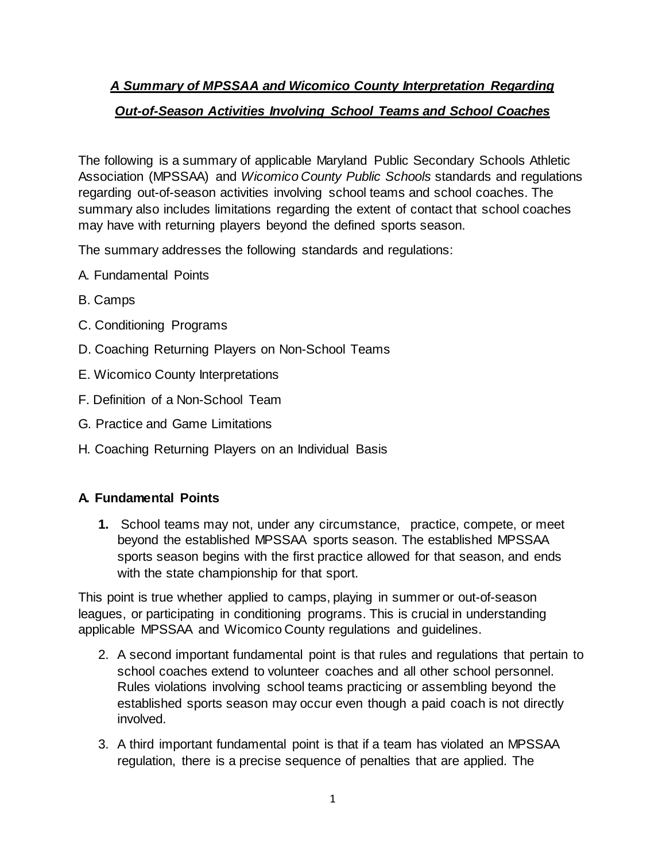# *A Summary of MPSSAA and Wicomico County Interpretation Regarding Out-of-Season Activities Involving School Teams and School Coaches*

The following is a summary of applicable Maryland Public Secondary Schools Athletic Association (MPSSAA) and *Wicomico County Public Schools* standards and regulations regarding out-of-season activities involving school teams and school coaches. The summary also includes limitations regarding the extent of contact that school coaches may have with returning players beyond the defined sports season.

The summary addresses the following standards and regulations:

- A. Fundamental Points
- B. Camps
- C. Conditioning Programs
- D. Coaching Returning Players on Non-School Teams
- E. Wicomico County Interpretations
- F. Definition of a Non-School Team
- G. Practice and Game Limitations
- H. Coaching Returning Players on an Individual Basis

## **A. Fundamental Points**

**1.** School teams may not, under any circumstance, practice, compete, or meet beyond the established MPSSAA sports season. The established MPSSAA sports season begins with the first practice allowed for that season, and ends with the state championship for that sport.

This point is true whether applied to camps, playing in summer or out-of-season leagues, or participating in conditioning programs. This is crucial in understanding applicable MPSSAA and Wicomico County regulations and guidelines.

- 2. A second important fundamental point is that rules and regulations that pertain to school coaches extend to volunteer coaches and all other school personnel. Rules violations involving school teams practicing or assembling beyond the established sports season may occur even though a paid coach is not directly involved.
- 3. A third important fundamental point is that if a team has violated an MPSSAA regulation, there is a precise sequence of penalties that are applied. The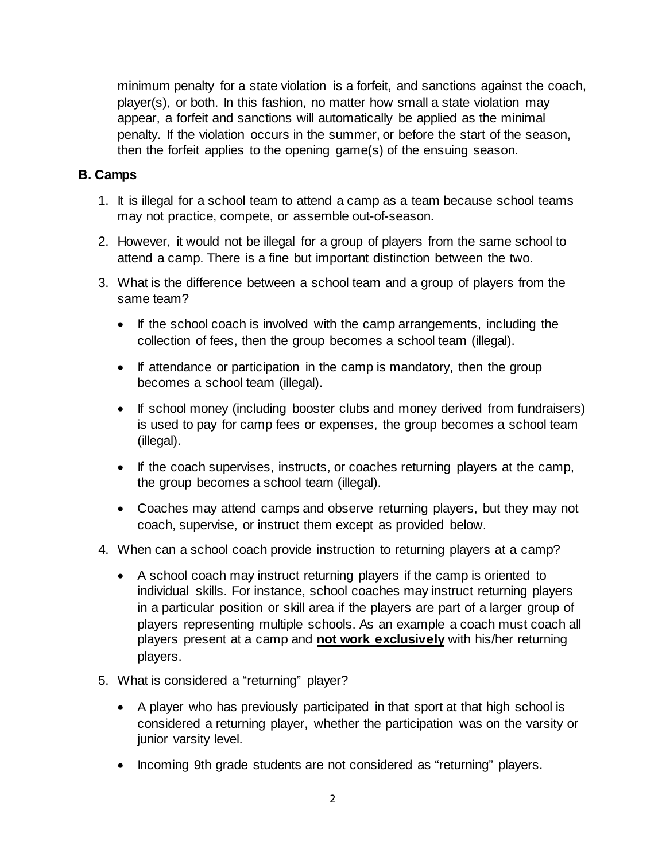minimum penalty for a state violation is a forfeit, and sanctions against the coach, player(s), or both. In this fashion, no matter how small a state violation may appear, a forfeit and sanctions will automatically be applied as the minimal penalty. If the violation occurs in the summer, or before the start of the season, then the forfeit applies to the opening game(s) of the ensuing season.

### **B. Camps**

- 1. It is illegal for a school team to attend a camp as a team because school teams may not practice, compete, or assemble out-of-season.
- 2. However, it would not be illegal for a group of players from the same school to attend a camp. There is a fine but important distinction between the two.
- 3. What is the difference between a school team and a group of players from the same team?
	- If the school coach is involved with the camp arrangements, including the collection of fees, then the group becomes a school team (illegal).
	- If attendance or participation in the camp is mandatory, then the group becomes a school team (illegal).
	- If school money (including booster clubs and money derived from fundraisers) is used to pay for camp fees or expenses, the group becomes a school team (illegal).
	- If the coach supervises, instructs, or coaches returning players at the camp, the group becomes a school team (illegal).
	- Coaches may attend camps and observe returning players, but they may not coach, supervise, or instruct them except as provided below.
- 4. When can a school coach provide instruction to returning players at a camp?
	- A school coach may instruct returning players if the camp is oriented to individual skills. For instance, school coaches may instruct returning players in a particular position or skill area if the players are part of a larger group of players representing multiple schools. As an example a coach must coach all players present at a camp and **not work exclusively** with his/her returning players.
- 5. What is considered a "returning" player?
	- A player who has previously participated in that sport at that high school is considered a returning player, whether the participation was on the varsity or junior varsity level.
	- Incoming 9th grade students are not considered as "returning" players.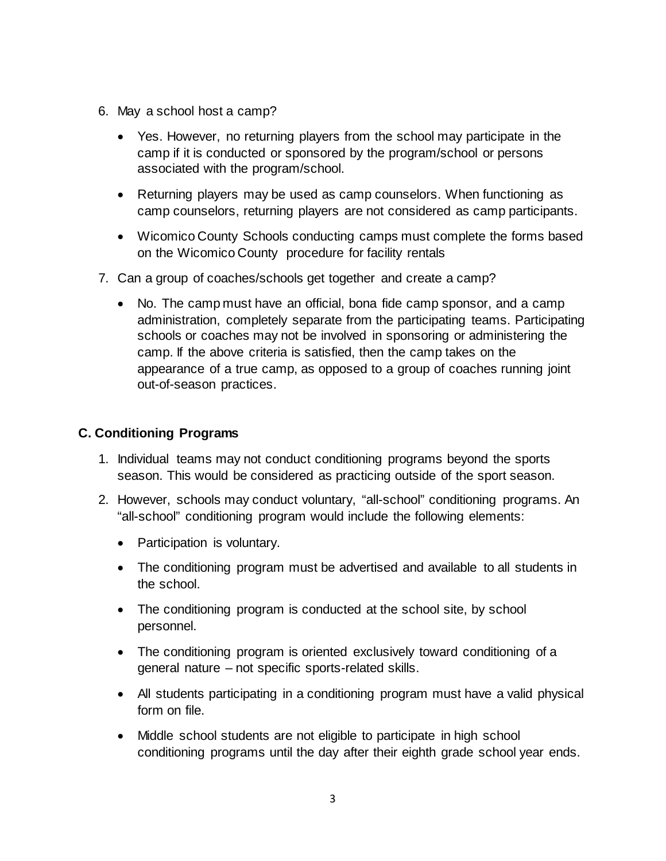- 6. May a school host a camp?
	- Yes. However, no returning players from the school may participate in the camp if it is conducted or sponsored by the program/school or persons associated with the program/school.
	- Returning players may be used as camp counselors. When functioning as camp counselors, returning players are not considered as camp participants.
	- Wicomico County Schools conducting camps must complete the forms based on the Wicomico County procedure for facility rentals
- 7. Can a group of coaches/schools get together and create a camp?
	- No. The camp must have an official, bona fide camp sponsor, and a camp administration, completely separate from the participating teams. Participating schools or coaches may not be involved in sponsoring or administering the camp. If the above criteria is satisfied, then the camp takes on the appearance of a true camp, as opposed to a group of coaches running joint out-of-season practices.

## **C. Conditioning Programs**

- 1. Individual teams may not conduct conditioning programs beyond the sports season. This would be considered as practicing outside of the sport season.
- 2. However, schools may conduct voluntary, "all-school" conditioning programs. An "all-school" conditioning program would include the following elements:
	- Participation is voluntary.
	- The conditioning program must be advertised and available to all students in the school.
	- The conditioning program is conducted at the school site, by school personnel.
	- The conditioning program is oriented exclusively toward conditioning of a general nature – not specific sports-related skills.
	- All students participating in a conditioning program must have a valid physical form on file.
	- Middle school students are not eligible to participate in high school conditioning programs until the day after their eighth grade school year ends.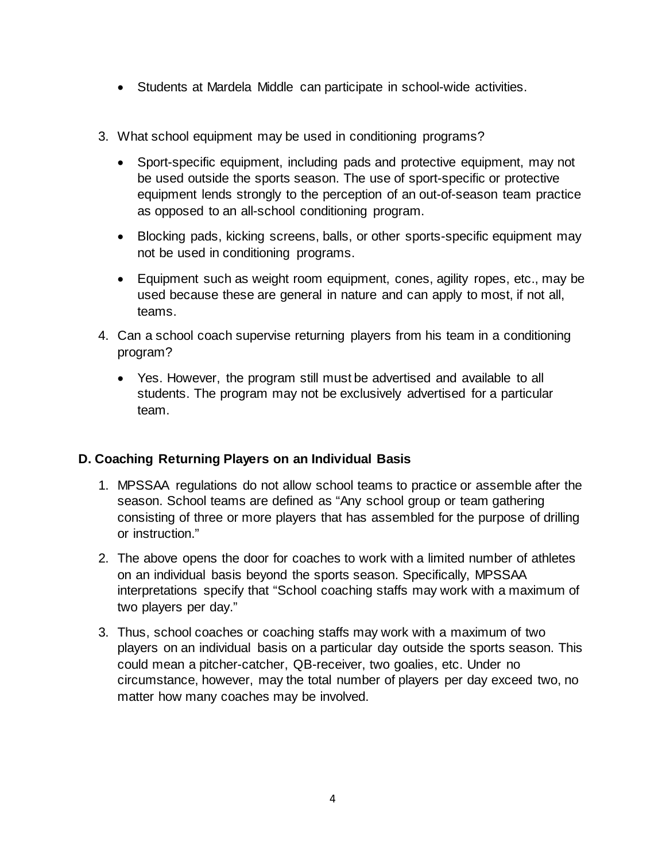- Students at Mardela Middle can participate in school-wide activities.
- 3. What school equipment may be used in conditioning programs?
	- Sport-specific equipment, including pads and protective equipment, may not be used outside the sports season. The use of sport-specific or protective equipment lends strongly to the perception of an out-of-season team practice as opposed to an all-school conditioning program.
	- Blocking pads, kicking screens, balls, or other sports-specific equipment may not be used in conditioning programs.
	- Equipment such as weight room equipment, cones, agility ropes, etc., may be used because these are general in nature and can apply to most, if not all, teams.
- 4. Can a school coach supervise returning players from his team in a conditioning program?
	- Yes. However, the program still must be advertised and available to all students. The program may not be exclusively advertised for a particular team.

## **D. Coaching Returning Players on an Individual Basis**

- 1. MPSSAA regulations do not allow school teams to practice or assemble after the season. School teams are defined as "Any school group or team gathering consisting of three or more players that has assembled for the purpose of drilling or instruction."
- 2. The above opens the door for coaches to work with a limited number of athletes on an individual basis beyond the sports season. Specifically, MPSSAA interpretations specify that "School coaching staffs may work with a maximum of two players per day."
- 3. Thus, school coaches or coaching staffs may work with a maximum of two players on an individual basis on a particular day outside the sports season. This could mean a pitcher-catcher, QB-receiver, two goalies, etc. Under no circumstance, however, may the total number of players per day exceed two, no matter how many coaches may be involved.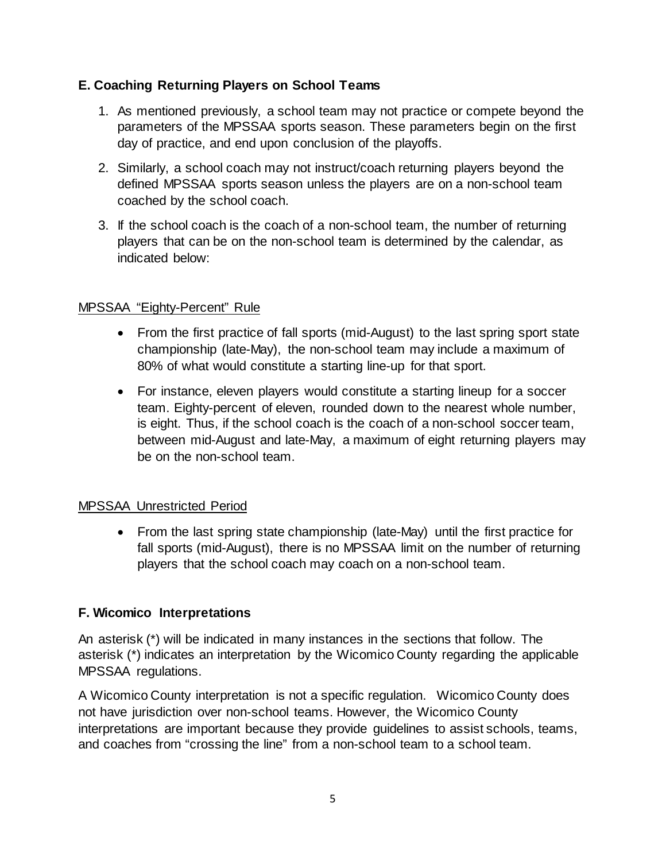## **E. Coaching Returning Players on School Teams**

- 1. As mentioned previously, a school team may not practice or compete beyond the parameters of the MPSSAA sports season. These parameters begin on the first day of practice, and end upon conclusion of the playoffs.
- 2. Similarly, a school coach may not instruct/coach returning players beyond the defined MPSSAA sports season unless the players are on a non-school team coached by the school coach.
- 3. If the school coach is the coach of a non-school team, the number of returning players that can be on the non-school team is determined by the calendar, as indicated below:

## MPSSAA "Eighty-Percent" Rule

- From the first practice of fall sports (mid-August) to the last spring sport state championship (late-May), the non-school team may include a maximum of 80% of what would constitute a starting line-up for that sport.
- For instance, eleven players would constitute a starting lineup for a soccer team. Eighty-percent of eleven, rounded down to the nearest whole number, is eight. Thus, if the school coach is the coach of a non-school soccer team, between mid-August and late-May, a maximum of eight returning players may be on the non-school team.

## MPSSAA Unrestricted Period

• From the last spring state championship (late-May) until the first practice for fall sports (mid-August), there is no MPSSAA limit on the number of returning players that the school coach may coach on a non-school team.

## **F. Wicomico Interpretations**

An asterisk (\*) will be indicated in many instances in the sections that follow. The asterisk (\*) indicates an interpretation by the Wicomico County regarding the applicable MPSSAA regulations.

A Wicomico County interpretation is not a specific regulation. Wicomico County does not have jurisdiction over non-school teams. However, the Wicomico County interpretations are important because they provide guidelines to assist schools, teams, and coaches from "crossing the line" from a non-school team to a school team.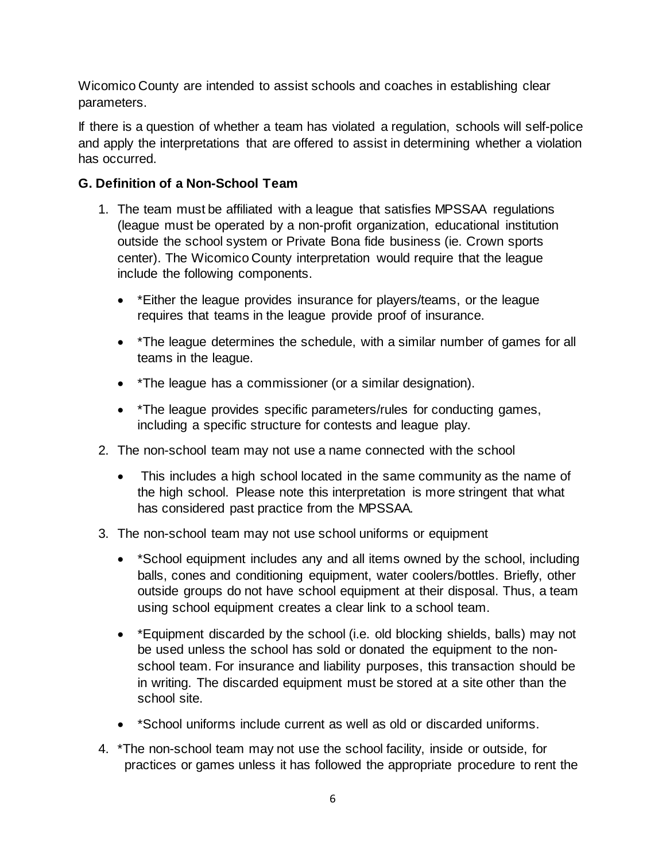Wicomico County are intended to assist schools and coaches in establishing clear parameters.

If there is a question of whether a team has violated a regulation, schools will self-police and apply the interpretations that are offered to assist in determining whether a violation has occurred.

## **G. Definition of a Non-School Team**

- 1. The team must be affiliated with a league that satisfies MPSSAA regulations (league must be operated by a non-profit organization, educational institution outside the school system or Private Bona fide business (ie. Crown sports center). The Wicomico County interpretation would require that the league include the following components.
	- \*Either the league provides insurance for players/teams, or the league requires that teams in the league provide proof of insurance.
	- \* The league determines the schedule, with a similar number of games for all teams in the league.
	- \*The league has a commissioner (or a similar designation).
	- \*The league provides specific parameters/rules for conducting games, including a specific structure for contests and league play.
- 2. The non-school team may not use a name connected with the school
	- This includes a high school located in the same community as the name of the high school. Please note this interpretation is more stringent that what has considered past practice from the MPSSAA.
- 3. The non-school team may not use school uniforms or equipment
	- \*School equipment includes any and all items owned by the school, including balls, cones and conditioning equipment, water coolers/bottles. Briefly, other outside groups do not have school equipment at their disposal. Thus, a team using school equipment creates a clear link to a school team.
	- \*Equipment discarded by the school (i.e. old blocking shields, balls) may not be used unless the school has sold or donated the equipment to the nonschool team. For insurance and liability purposes, this transaction should be in writing. The discarded equipment must be stored at a site other than the school site.
	- \*School uniforms include current as well as old or discarded uniforms.
- 4. \*The non-school team may not use the school facility, inside or outside, for practices or games unless it has followed the appropriate procedure to rent the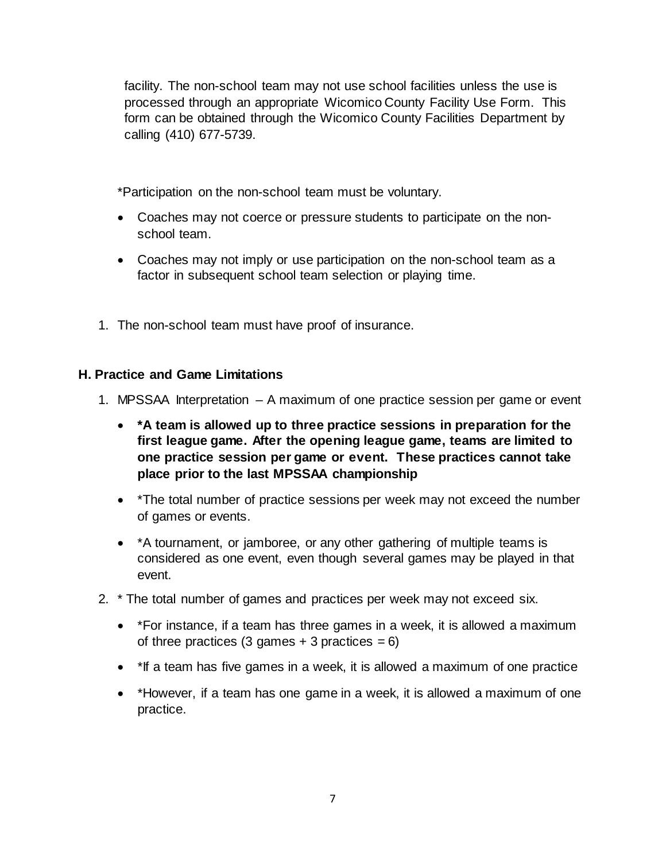facility. The non-school team may not use school facilities unless the use is processed through an appropriate Wicomico County Facility Use Form. This form can be obtained through the Wicomico County Facilities Department by calling (410) 677-5739.

\*Participation on the non-school team must be voluntary.

- Coaches may not coerce or pressure students to participate on the nonschool team.
- Coaches may not imply or use participation on the non-school team as a factor in subsequent school team selection or playing time.
- 1. The non-school team must have proof of insurance.

### **H. Practice and Game Limitations**

- 1. MPSSAA Interpretation A maximum of one practice session per game or event
	- **\*A team is allowed up to three practice sessions in preparation for the first league game. After the opening league game, teams are limited to one practice session per game or event. These practices cannot take place prior to the last MPSSAA championship**
	- \*The total number of practice sessions per week may not exceed the number of games or events.
	- \*A tournament, or jamboree, or any other gathering of multiple teams is considered as one event, even though several games may be played in that event.
- 2. \* The total number of games and practices per week may not exceed six.
	- \* For instance, if a team has three games in a week, it is allowed a maximum of three practices  $(3 \text{ games} + 3 \text{ practices} = 6)$
	- \*If a team has five games in a week, it is allowed a maximum of one practice
	- \*However, if a team has one game in a week, it is allowed a maximum of one practice.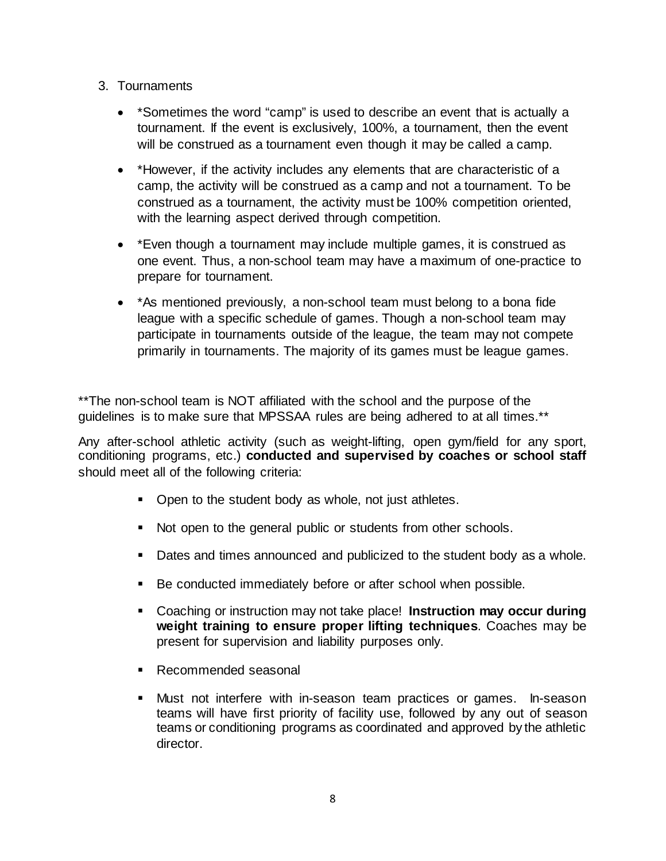- 3. Tournaments
	- \*Sometimes the word "camp" is used to describe an event that is actually a tournament. If the event is exclusively, 100%, a tournament, then the event will be construed as a tournament even though it may be called a camp.
	- \*However, if the activity includes any elements that are characteristic of a camp, the activity will be construed as a camp and not a tournament. To be construed as a tournament, the activity must be 100% competition oriented, with the learning aspect derived through competition.
	- \*Even though a tournament may include multiple games, it is construed as one event. Thus, a non-school team may have a maximum of one-practice to prepare for tournament.
	- \*As mentioned previously, a non-school team must belong to a bona fide league with a specific schedule of games. Though a non-school team may participate in tournaments outside of the league, the team may not compete primarily in tournaments. The majority of its games must be league games.

\*\*The non-school team is NOT affiliated with the school and the purpose of the guidelines is to make sure that MPSSAA rules are being adhered to at all times.\*\*

Any after-school athletic activity (such as weight-lifting, open gym/field for any sport, conditioning programs, etc.) **conducted and supervised by coaches or school staff** should meet all of the following criteria:

- Open to the student body as whole, not just athletes.
- Not open to the general public or students from other schools.
- Dates and times announced and publicized to the student body as a whole.
- Be conducted immediately before or after school when possible.
- Coaching or instruction may not take place! **Instruction may occur during weight training to ensure proper lifting techniques**. Coaches may be present for supervision and liability purposes only.
- Recommended seasonal
- Must not interfere with in-season team practices or games. In-season teams will have first priority of facility use, followed by any out of season teams or conditioning programs as coordinated and approved by the athletic director.